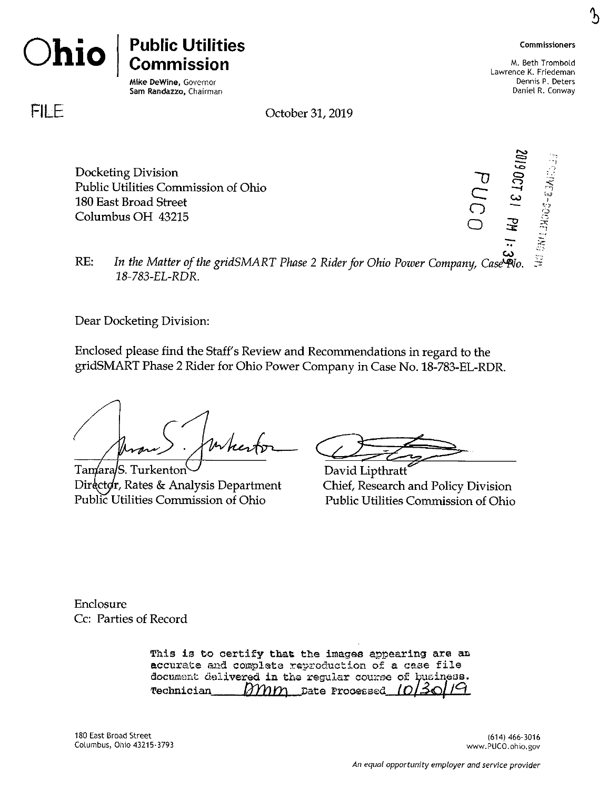

՜հ



**Ohio**

# **Public Utilities Commission**

Mike DeWine, Governor Sam Randazzo, Chairman

M. Beth Trombold Lawrence K. Friedeman Dennis P. Deters Daniel R. Conway

cs> *' 1*

**I**

5

*~0* **CD** O **<**

**e —i CO** *<sup>1</sup>* **o ——** *§* **o 5 <sup>4</sup>**

**FILE**

October 31,2019

Docketing Division Public Utilities Commission of Ohio 180 East Broad Street Columbus OH 43215

*RE:* In the Matter of the gridSMART Phase 2 Rider for Ohio Power Company, Case  $\widetilde{P}$ o. *18-783-EL-RDR.*

Dear Docketing Division:

Enclosed please find the Staff's Review and Recommendations in regard to the gridSMART Phase 2 Rider for Ohio Power Company in Case No. 18-783-EL-RDR.

Tamara/S. Turkenton Director, Rates & Analysis Department Public Utilities Commission of Ohio

**c**<br>Pavid I

David Lipthratt Chief, Research and Policy Division Public Utilities Commission of Ohio

Enclosure Cc: Parties of Record

> *This is to certify that the images appearing are an accurate ajid complete reproduction of <sup>a</sup> case file* document delivered in the regular course of business.<br> **Technician** *MMM* Date Processed *[O]30]/9 Mim* Date Processed 10

180 East Broad Street Columbus, Ohio 43215-3793

(614) 466-3016 www.PUCO.ohio.gov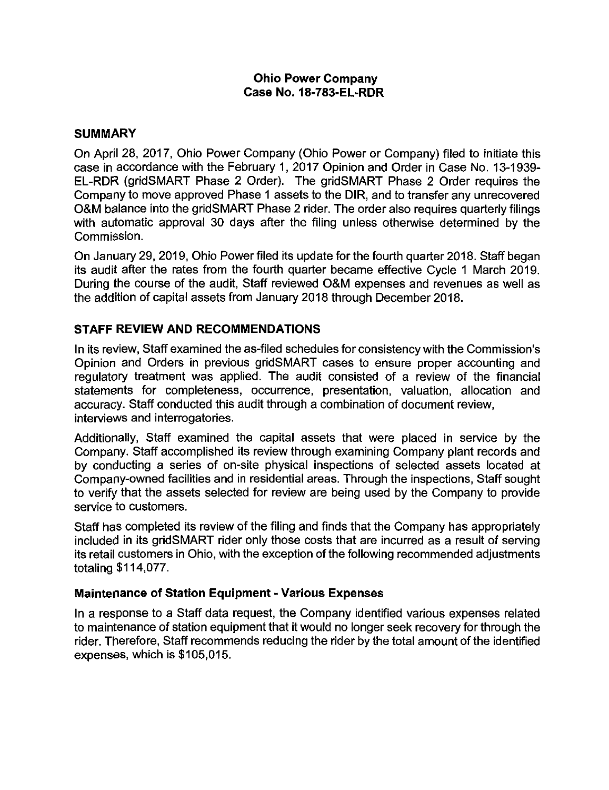#### **Ohio Power Company Case No. 18-783-EL-RDR**

## **SUMMARY**

On April 28, 2017, Ohio Power Company (Ohio Power or Company) filed to initiate this case in accordance with the February 1, 2017 Opinion and Order in Case No. 13-1939- EL-RDR (gridSMART Phase 2 Order). The gridSMART Phase 2 Order requires the Company to move approved Phase <sup>1</sup> assets to the DIR, and to transfer any unrecovered O&M balance into the gridSMART Phase 2 rider. The order also requires quarterly filings with automatic approval 30 days after the filing unless otherwise determined by the Commission.

On January 29, 2019, Ohio Power filed its update for the fourth quarter 2018. Staff began its audit after the rates from the fourth quarter became effective Cycle <sup>1</sup> March 2019. During the course of the audit. Staff reviewed O&M expenses and revenues as well as the addition of capital assets from January 2018 through December 2018.

# **STAFF REVIEW AND RECOMMENDATIONS**

In its review, Staff examined the as-filed schedules for consistency with the Commission's Opinion and Orders in previous gridSMART cases to ensure proper accounting and regulatory treatment was applied. The audit consisted of a review of the financial statements for completeness, occurrence, presentation, valuation, allocation and accuracy. Staff conducted this audit through a combination of document review, interviews and interrogatories.

Additionally, Staff examined the capital assets that were placed in service by the Company. Staff accomplished its review through examining Company plant records and by conducting a series of on-site physical inspections of selected assets located at Company-owned facilities and in residential areas. Through the inspections, Staff sought to verify that the assets selected for review are being used by the Company to provide service to customers.

Staff has completed its review of the filing and finds that the Company has appropriately included in its gridSMART rider only those costs that are incurred as a result of serving its retail customers in Ohio, with the exception of the following recommended adjustments totaling \$114,077.

#### **Maintenance of Station Equipment - Various Expenses**

In a response to a Staff data request, the Company identified various expenses related to maintenance of station equipment that it would no longer seek recovery for through the rider. Therefore, Staff recommends reducing the rider by the total amount of the identified expenses, which is \$105,015.